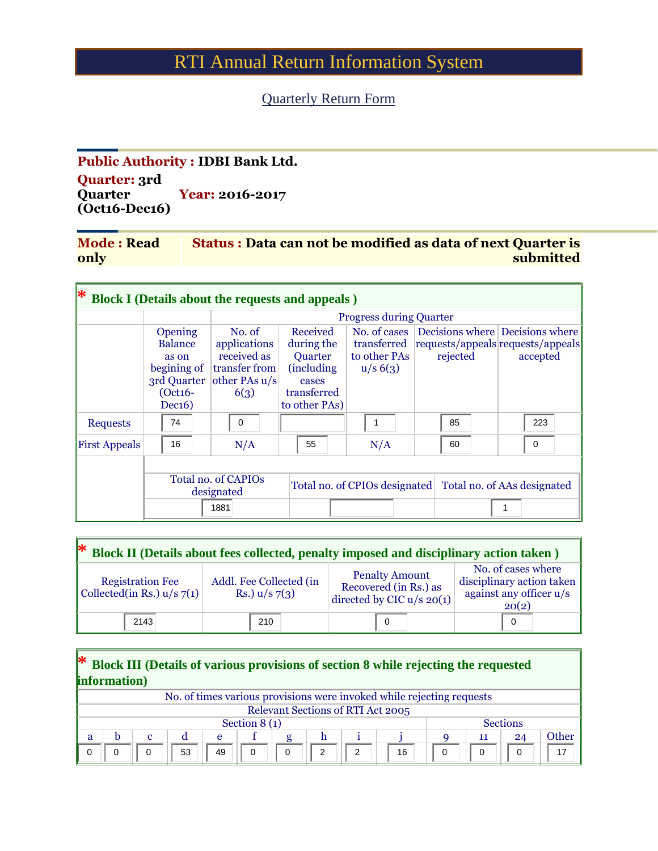## RTI Annual Return Information System

## Quarterly Return Form

## **Public Authority : IDBI Bank Ltd. Quarter: 3rd Quarter (Oct16-Dec16) Year: 2016-2017**

| <b>Mode: Read</b> | <b>Status: Data can not be modified as data of next Quarter is</b> |
|-------------------|--------------------------------------------------------------------|
| only              | submitted                                                          |

| ∗<br><b>Block I (Details about the requests and appeals)</b>                                              |    |                                                                 |                                                                                           |                                            |                                                           |                                                                                              |  |  |  |
|-----------------------------------------------------------------------------------------------------------|----|-----------------------------------------------------------------|-------------------------------------------------------------------------------------------|--------------------------------------------|-----------------------------------------------------------|----------------------------------------------------------------------------------------------|--|--|--|
|                                                                                                           |    |                                                                 | <b>Progress during Quarter</b>                                                            |                                            |                                                           |                                                                                              |  |  |  |
| No. of<br>Opening<br><b>Balance</b><br>as on<br>begining of<br>3rd Quarter<br>$(Oct16-$<br>6(3)<br>Dec16) |    | applications<br>received as<br>transfer from<br>other PAs $u/s$ | Received<br>during the<br>Quarter<br>(including)<br>cases<br>transferred<br>to other PAs) | No. of cases<br>to other PAs<br>$u/s$ 6(3) | rejected                                                  | Decisions where Decisions where<br>transferred requests/appeals requests/appeals<br>accepted |  |  |  |
| <b>Requests</b>                                                                                           | 74 | $\mathbf 0$                                                     |                                                                                           |                                            | 85                                                        | 223                                                                                          |  |  |  |
| <b>First Appeals</b>                                                                                      | 16 | N/A                                                             | 55                                                                                        | N/A                                        | 60                                                        | $\Omega$                                                                                     |  |  |  |
|                                                                                                           |    | <b>Total no. of CAPIOs</b><br>designated<br>1881                |                                                                                           |                                            | Total no. of CPIOs designated Total no. of AAs designated |                                                                                              |  |  |  |

| $\ast$<br>Block II (Details about fees collected, penalty imposed and disciplinary action taken) |                                            |                                                                               |                                                                                     |  |  |  |  |
|--------------------------------------------------------------------------------------------------|--------------------------------------------|-------------------------------------------------------------------------------|-------------------------------------------------------------------------------------|--|--|--|--|
| <b>Registration Fee</b><br>Collected(in Rs.) $u/s$ 7(1)                                          | Addl. Fee Collected (in<br>Rs.) $u/s$ 7(3) | <b>Penalty Amount</b><br>Recovered (in Rs.) as<br>directed by CIC $u/s$ 20(1) | No. of cases where<br>disciplinary action taken<br>against any officer u/s<br>20(2) |  |  |  |  |
| 2143                                                                                             | 210                                        | $\Omega$                                                                      |                                                                                     |  |  |  |  |

| * Block III (Details of various provisions of section 8 while rejecting the requested<br>information) |                                          |             |    |    |          |          |   |   |                                                                       |   |          |          |       |
|-------------------------------------------------------------------------------------------------------|------------------------------------------|-------------|----|----|----------|----------|---|---|-----------------------------------------------------------------------|---|----------|----------|-------|
|                                                                                                       |                                          |             |    |    |          |          |   |   | No. of times various provisions were invoked while rejecting requests |   |          |          |       |
|                                                                                                       | <b>Relevant Sections of RTI Act 2005</b> |             |    |    |          |          |   |   |                                                                       |   |          |          |       |
| <b>Sections</b><br>Section $8(1)$                                                                     |                                          |             |    |    |          |          |   |   |                                                                       |   |          |          |       |
| a                                                                                                     | b                                        | $\mathbf c$ |    | e  |          |          | h |   |                                                                       |   | 11       | 24       | Other |
|                                                                                                       |                                          | $\Omega$    | 53 | 49 | $\Omega$ | $\Omega$ | 2 | 2 | 16                                                                    | 0 | $\Omega$ | $\Omega$ | 17    |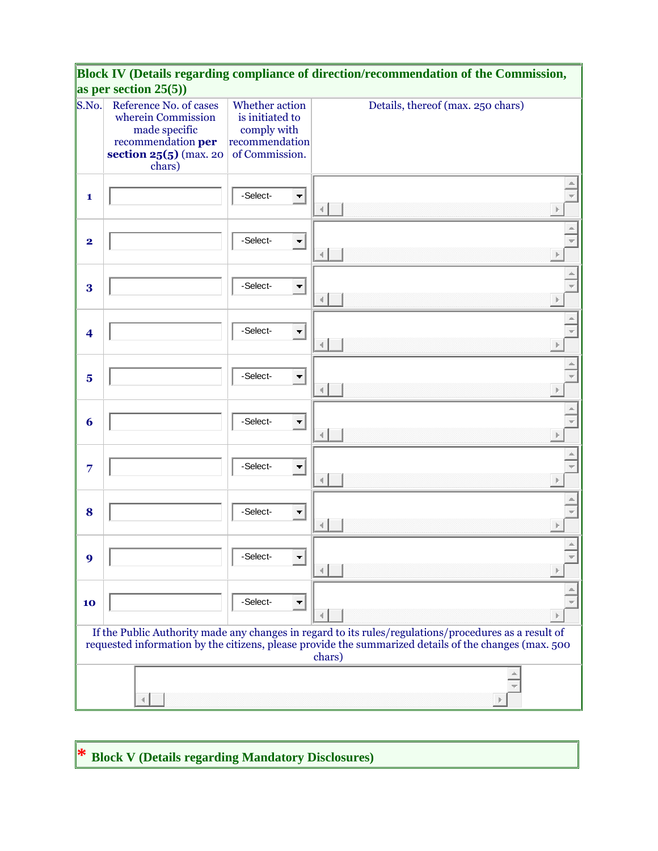|                         | as per section $25(5)$ )                                                                                                |                                                                                      | Block IV (Details regarding compliance of direction/recommendation of the Commission,                                                                                                                                    |
|-------------------------|-------------------------------------------------------------------------------------------------------------------------|--------------------------------------------------------------------------------------|--------------------------------------------------------------------------------------------------------------------------------------------------------------------------------------------------------------------------|
| S.No.                   | Reference No. of cases<br>wherein Commission<br>made specific<br>recommendation per<br>section 25(5) (max. 20<br>chars) | Whether action<br>is initiated to<br>comply with<br>recommendation<br>of Commission. | Details, thereof (max. 250 chars)                                                                                                                                                                                        |
| 1                       |                                                                                                                         | -Select-<br>$\blacksquare$                                                           |                                                                                                                                                                                                                          |
| $\overline{\mathbf{2}}$ |                                                                                                                         | -Select-<br>$\blacksquare$                                                           |                                                                                                                                                                                                                          |
| 3                       |                                                                                                                         | -Select-<br>$\blacksquare$                                                           |                                                                                                                                                                                                                          |
| $\overline{\mathbf{4}}$ |                                                                                                                         | -Select-<br>$\blacksquare$                                                           |                                                                                                                                                                                                                          |
| $\overline{\mathbf{5}}$ |                                                                                                                         | -Select-<br>$\blacksquare$                                                           |                                                                                                                                                                                                                          |
| 6                       |                                                                                                                         | -Select-<br>$\blacksquare$                                                           |                                                                                                                                                                                                                          |
| 7                       |                                                                                                                         | -Select-<br>$\blacksquare$                                                           |                                                                                                                                                                                                                          |
| 8                       |                                                                                                                         | -Select-<br>$\overline{\phantom{a}}$                                                 |                                                                                                                                                                                                                          |
| 9                       |                                                                                                                         | -Select-<br>$\overline{\phantom{a}}$                                                 |                                                                                                                                                                                                                          |
| 10                      |                                                                                                                         | -Select-<br>$\overline{\phantom{a}}$                                                 |                                                                                                                                                                                                                          |
|                         |                                                                                                                         |                                                                                      | If the Public Authority made any changes in regard to its rules/regulations/procedures as a result of<br>requested information by the citizens, please provide the summarized details of the changes (max. 500<br>chars) |
|                         |                                                                                                                         |                                                                                      |                                                                                                                                                                                                                          |

**\* Block V (Details regarding Mandatory Disclosures)**